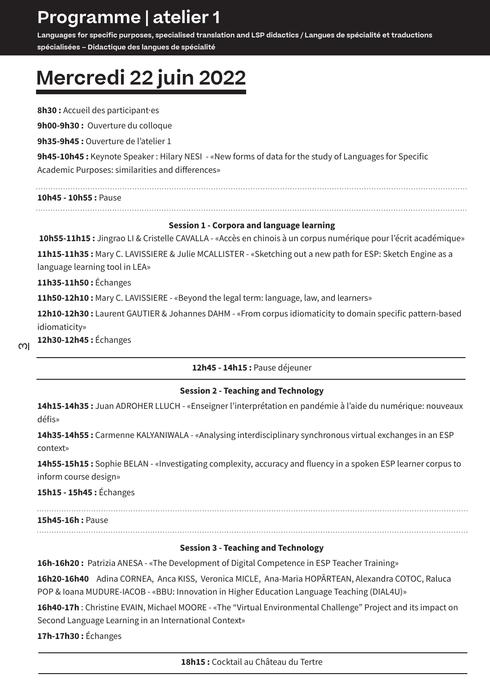## **Programme | atelier 1**

**Languages for specific purposes, specialised translation and LSP didactics / Langues de spécialité et traductions spécialisées – Didactique des langues de spécialité**

## **Mercredi 22 juin 2022**

**8h30 :** Accueil des participant·es **9h00-9h30 :** Ouverture du colloque **9h35-9h45 :** Ouverture de l'atelier 1 **9h45-10h45 :** Keynote Speaker : Hilary NESI - «New forms of data for the study of Languages for Specific Academic Purposes: similarities and differences» **10h45 - 10h55 :** Pause 

### **Session 1 - Corpora and language learning**

**10h55-11h15 :** Jingrao LI & Cristelle CAVALLA - «Accès en chinois à un corpus numérique pour l'écrit académique»

**11h15-11h35 :** Mary C. LAVISSIERE & Julie MCALLISTER - «Sketching out a new path for ESP: Sketch Engine as a language learning tool in LEA»

**11h35-11h50 :** Échanges

**11h50-12h10 :** Mary C. LAVISSIERE - «Beyond the legal term: language, law, and learners»

**12h10-12h30 :** Laurent GAUTIER & Johannes DAHM - «From corpus idiomaticity to domain specific pattern-based idiomaticity»

 $\overline{3}$ 

**12h30-12h45 :** Échanges

### **12h45 - 14h15 :** Pause déjeuner

### **Session 2 - Teaching and Technology**

**14h15-14h35 :** Juan ADROHER LLUCH - «Enseigner l'interprétation en pandémie à l'aide du numérique: nouveaux défis»

14h35-14h55 : Carmenne KALYANIWALA - «Analysing interdisciplinary synchronous virtual exchanges in an ESP context»

**14h55-15h15 :** Sophie BELAN - «Investigating complexity, accuracy and fluency in a spoken ESP learner corpus to inform course design»

**15h15 - 15h45 :** Échanges

### **15h45-16h :** Pause

### **Session 3 - Teaching and Technology**

16h-16h20: Patrizia ANESA - «The Development of Digital Competence in ESP Teacher Training»

**16h20-16h40** Adina CORNEA, Anca KISS, Veronica MICLE, Ana-Maria HOPÂRTEAN, Alexandra COTOC, Raluca POP & Ioana MUDURE-IACOB - «BBU: Innovation in Higher Education Language Teaching (DIAL4U)»

**16h40-17h** : Christine EVAIN, Michael MOORE - «The "Virtual Environmental Challenge" Project and its impact on Second Language Learning in an International Context»

**17h-17h30 :** Échanges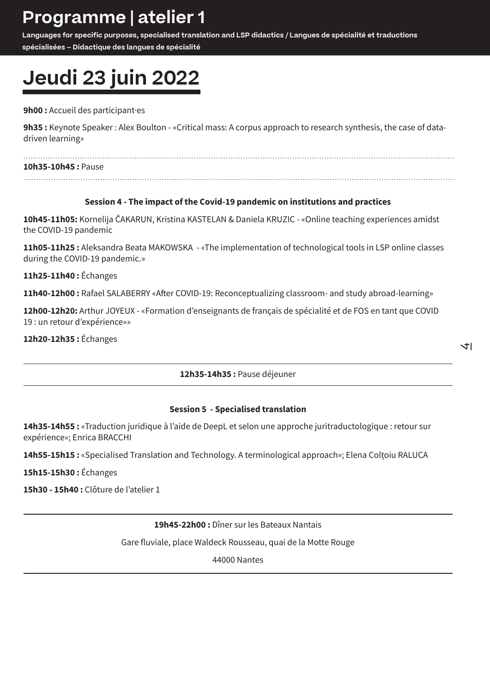## **Programme | atelier 1**

**Languages for specific purposes, specialised translation and LSP didactics / Langues de spécialité et traductions spécialisées – Didactique des langues de spécialité**

# **Jeudi 23 juin 2022**

### **9h00 :** Accueil des participant·es

**9h35 :** Keynote Speaker : Alex Boulton - «Critical mass: A corpus approach to research synthesis, the case of datadriven learning»

#### **10h35-10h45 :** Pause

### **Session 4 - The impact of the Covid-19 pandemic on institutions and practices**

**10h45-11h05:** Kornelija ČAKARUN, Kristina KASTELAN & Daniela KRUZIC - «Online teaching experiences amidst the COVID-19 pandemic

**11h05-11h25 :** Aleksandra Beata MAKOWSKA - «The implementation of technological tools in LSP online classes during the COVID-19 pandemic.»

**11h25-11h40 :** Échanges

**11h40-12h00 :** Rafael SALABERRY «After COVID-19: Reconceptualizing classroom- and study abroad-learning»

**12h00-12h20:** Arthur JOYEUX - «Formation d'enseignants de français de spécialité et de FOS en tant que COVID 19 : un retour d'expérience»»

**12h20-12h35 :** Échanges

 $+1$ 

**12h35-14h35 :** Pause déjeuner

### **Session 5 - Specialised translation**

**14h35-14h55 :** «Traduction juridique à l'aide de DeepL et selon une approche juritraductologique : retour sur expérience»; Enrica BRACCHI

**14h55-15h15 :** «Specialised Translation and Technology. A terminological approach»; Elena Colțoiu RALUCA

**15h15-15h30 :** Échanges

**15h30 - 15h40 :** Clôture de l'atelier 1

**19h45-22h00 :** Dîner sur les Bateaux Nantais

Gare fluviale, place Waldeck Rousseau, quai de la Motte Rouge

44000 Nantes